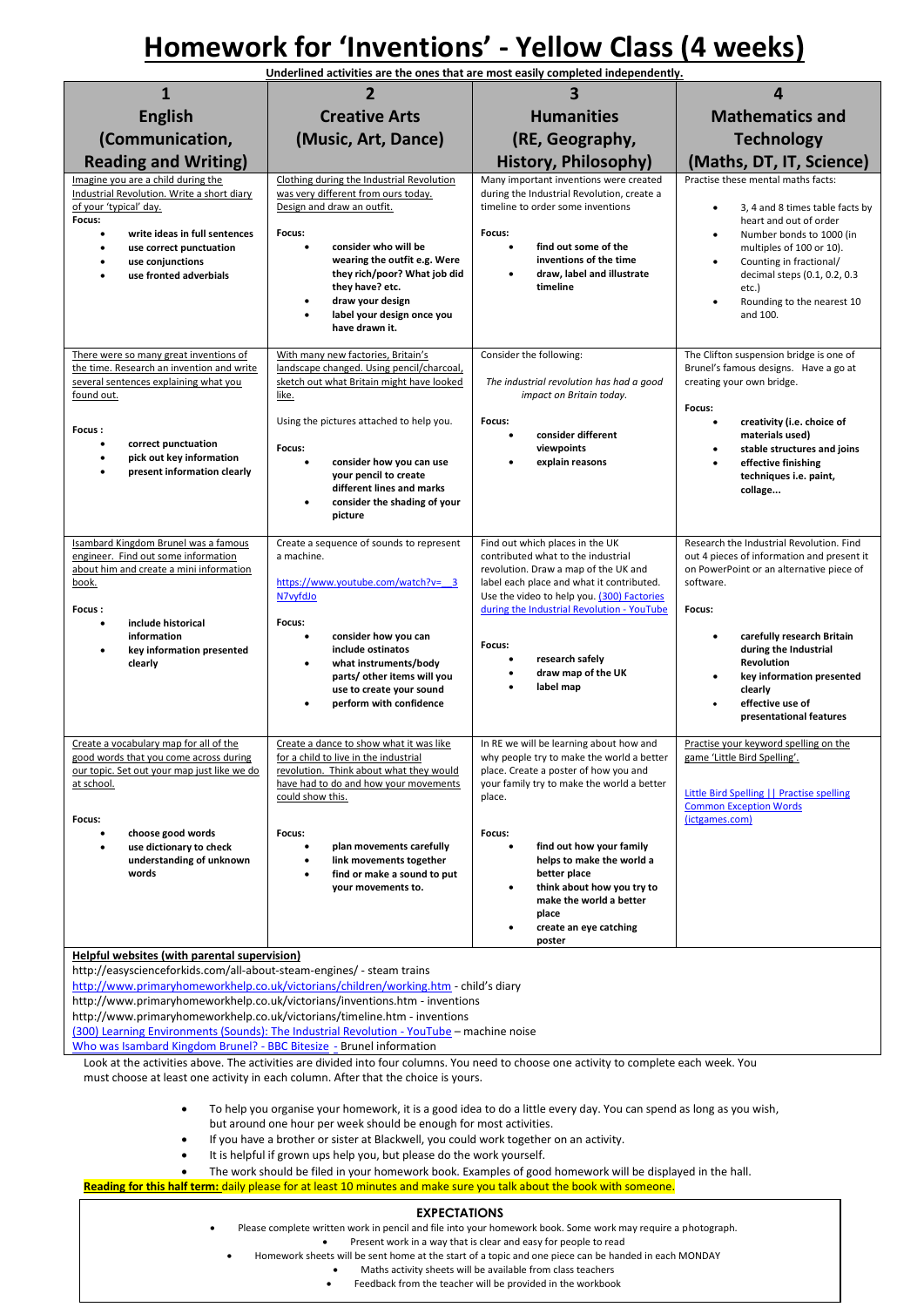## **Homework for 'Inventions' - Yellow Class (4 weeks)**

| Underlined activities are the ones that are most easily completed independently.                                                                                                                                                                                                                                                                                                                                                                                                                                                                                                                                                         |                                                                                                                                                                                                                                                                                                                      |                                                                                                                                                                                                                                                        |                                                                                                                                                                                                                                                                                                              |
|------------------------------------------------------------------------------------------------------------------------------------------------------------------------------------------------------------------------------------------------------------------------------------------------------------------------------------------------------------------------------------------------------------------------------------------------------------------------------------------------------------------------------------------------------------------------------------------------------------------------------------------|----------------------------------------------------------------------------------------------------------------------------------------------------------------------------------------------------------------------------------------------------------------------------------------------------------------------|--------------------------------------------------------------------------------------------------------------------------------------------------------------------------------------------------------------------------------------------------------|--------------------------------------------------------------------------------------------------------------------------------------------------------------------------------------------------------------------------------------------------------------------------------------------------------------|
| $\mathbf{1}$                                                                                                                                                                                                                                                                                                                                                                                                                                                                                                                                                                                                                             |                                                                                                                                                                                                                                                                                                                      |                                                                                                                                                                                                                                                        | 4                                                                                                                                                                                                                                                                                                            |
| <b>English</b>                                                                                                                                                                                                                                                                                                                                                                                                                                                                                                                                                                                                                           | <b>Creative Arts</b>                                                                                                                                                                                                                                                                                                 | <b>Humanities</b>                                                                                                                                                                                                                                      | <b>Mathematics and</b>                                                                                                                                                                                                                                                                                       |
| (Communication,                                                                                                                                                                                                                                                                                                                                                                                                                                                                                                                                                                                                                          | (Music, Art, Dance)                                                                                                                                                                                                                                                                                                  | (RE, Geography,                                                                                                                                                                                                                                        | <b>Technology</b>                                                                                                                                                                                                                                                                                            |
| <b>Reading and Writing)</b>                                                                                                                                                                                                                                                                                                                                                                                                                                                                                                                                                                                                              |                                                                                                                                                                                                                                                                                                                      | <b>History, Philosophy)</b>                                                                                                                                                                                                                            | (Maths, DT, IT, Science)                                                                                                                                                                                                                                                                                     |
| Imagine you are a child during the<br>Industrial Revolution. Write a short diary<br>of your 'typical' day.<br>Focus:<br>write ideas in full sentences<br>$\bullet$<br>use correct punctuation<br>٠<br>use conjunctions<br>use fronted adverbials                                                                                                                                                                                                                                                                                                                                                                                         | Clothing during the Industrial Revolution<br>was very different from ours today.<br>Design and draw an outfit.<br>Focus:<br>consider who will be<br>$\bullet$<br>wearing the outfit e.g. Were<br>they rich/poor? What job did<br>they have? etc.<br>draw your design<br>label your design once you<br>have drawn it. | Many important inventions were created<br>during the Industrial Revolution, create a<br>timeline to order some inventions<br>Focus:<br>find out some of the<br>٠<br>inventions of the time<br>draw. label and illustrate<br>timeline                   | Practise these mental maths facts:<br>3, 4 and 8 times table facts by<br>heart and out of order<br>Number bonds to 1000 (in<br>$\bullet$<br>multiples of 100 or 10).<br>Counting in fractional/<br>$\bullet$<br>decimal steps (0.1, 0.2, 0.3<br>etc.)<br>Rounding to the nearest 10<br>$\bullet$<br>and 100. |
| There were so many great inventions of<br>the time. Research an invention and write<br>several sentences explaining what you<br>found out.<br>Focus:                                                                                                                                                                                                                                                                                                                                                                                                                                                                                     | With many new factories, Britain's<br>landscape changed. Using pencil/charcoal,<br>sketch out what Britain might have looked<br>like.<br>Using the pictures attached to help you.                                                                                                                                    | Consider the following:<br>The industrial revolution has had a good<br>impact on Britain today.<br>Focus:                                                                                                                                              | The Clifton suspension bridge is one of<br>Brunel's famous designs. Have a go at<br>creating your own bridge.<br>Focus:<br>creativity (i.e. choice of<br>$\bullet$                                                                                                                                           |
| correct punctuation<br>$\bullet$<br>pick out key information<br>present information clearly                                                                                                                                                                                                                                                                                                                                                                                                                                                                                                                                              | Focus:<br>consider how you can use<br>your pencil to create<br>different lines and marks<br>consider the shading of your<br>$\bullet$<br>picture                                                                                                                                                                     | consider different<br>viewpoints<br>explain reasons                                                                                                                                                                                                    | materials used)<br>stable structures and joins<br>٠<br>effective finishing<br>techniques i.e. paint,<br>collage                                                                                                                                                                                              |
| Isambard Kingdom Brunel was a famous<br>engineer. Find out some information<br>about him and create a mini information<br>book.<br>Focus:<br>include historical<br>٠                                                                                                                                                                                                                                                                                                                                                                                                                                                                     | Create a sequence of sounds to represent<br>a machine.<br>https://www.youtube.com/watch?v= 3<br>N7vyfdJo<br>Focus:                                                                                                                                                                                                   | Find out which places in the UK<br>contributed what to the industrial<br>revolution. Draw a map of the UK and<br>label each place and what it contributed.<br>Use the video to help you. (300) Factories<br>during the Industrial Revolution - YouTube | Research the Industrial Revolution. Find<br>out 4 pieces of information and present it<br>on PowerPoint or an alternative piece of<br>software.<br>Focus:                                                                                                                                                    |
| information<br>key information presented<br>$\bullet$<br>clearly                                                                                                                                                                                                                                                                                                                                                                                                                                                                                                                                                                         | consider how you can<br>include ostinatos<br>what instruments/body<br>parts/ other items will you<br>use to create your sound<br>perform with confidence                                                                                                                                                             | Focus:<br>research safely<br>draw map of the UK<br>label map                                                                                                                                                                                           | carefully research Britain<br>$\bullet$<br>during the Industrial<br>Revolution<br>key information presented<br>٠<br>clearly<br>effective use of<br>$\bullet$<br>presentational features                                                                                                                      |
| Create a vocabulary map for all of the<br>good words that you come across during<br>our topic. Set out your map just like we do<br>at school.<br>Focus:                                                                                                                                                                                                                                                                                                                                                                                                                                                                                  | Create a dance to show what it was like<br>for a child to live in the industrial<br>revolution. Think about what they would<br>have had to do and how your movements<br>could show this.                                                                                                                             | In RE we will be learning about how and<br>why people try to make the world a better<br>place. Create a poster of how you and<br>your family try to make the world a better<br>place.                                                                  | Practise your keyword spelling on the<br>game 'Little Bird Spelling'.<br>Little Bird Spelling     Practise spelling<br><b>Common Exception Words</b><br>(ictgames.com)                                                                                                                                       |
| choose good words<br>٠<br>use dictionary to check<br>$\bullet$<br>understanding of unknown<br>words                                                                                                                                                                                                                                                                                                                                                                                                                                                                                                                                      | Focus:<br>plan movements carefully<br>link movements together<br>find or make a sound to put<br>your movements to.                                                                                                                                                                                                   | Focus:<br>find out how your family<br>$\bullet$<br>helps to make the world a<br>better place<br>think about how you try to<br>make the world a better<br>place<br>create an eye catching                                                               |                                                                                                                                                                                                                                                                                                              |
| Helpful websites (with parental supervision)                                                                                                                                                                                                                                                                                                                                                                                                                                                                                                                                                                                             |                                                                                                                                                                                                                                                                                                                      | poster                                                                                                                                                                                                                                                 |                                                                                                                                                                                                                                                                                                              |
| http://easyscienceforkids.com/all-about-steam-engines/ - steam trains<br>http://www.primaryhomeworkhelp.co.uk/victorians/children/working.htm - child's diary<br>http://www.primaryhomeworkhelp.co.uk/victorians/inventions.htm - inventions<br>http://www.primaryhomeworkhelp.co.uk/victorians/timeline.htm - inventions<br>(300) Learning Environments (Sounds): The Industrial Revolution - YouTube - machine noise<br>Who was Isambard Kingdom Brunel? - BBC Bitesize - Brunel information<br>Look at the activities above. The activities are divided into four columns. You need to choose one activity to complete each week. You |                                                                                                                                                                                                                                                                                                                      |                                                                                                                                                                                                                                                        |                                                                                                                                                                                                                                                                                                              |
| must choose at least one activity in each column. After that the choice is yours.<br>To help you organise your homework, it is a good idea to do a little every day. You can spend as long as you wish,<br>$\bullet$                                                                                                                                                                                                                                                                                                                                                                                                                     |                                                                                                                                                                                                                                                                                                                      |                                                                                                                                                                                                                                                        |                                                                                                                                                                                                                                                                                                              |
| but around one hour per week should be enough for most activities.<br>If you have a brother or sister at Blackwell, you could work together on an activity.<br>$\bullet$<br>It is helpful if grown ups help you, but please do the work yourself.                                                                                                                                                                                                                                                                                                                                                                                        |                                                                                                                                                                                                                                                                                                                      |                                                                                                                                                                                                                                                        |                                                                                                                                                                                                                                                                                                              |
| The work should be filed in your homework book. Examples of good homework will be displayed in the hall.<br>Reading for this half term: daily please for at least 10 minutes and make sure you talk about the book with someone.                                                                                                                                                                                                                                                                                                                                                                                                         |                                                                                                                                                                                                                                                                                                                      |                                                                                                                                                                                                                                                        |                                                                                                                                                                                                                                                                                                              |
|                                                                                                                                                                                                                                                                                                                                                                                                                                                                                                                                                                                                                                          | <b>EXPECTATIONS</b>                                                                                                                                                                                                                                                                                                  |                                                                                                                                                                                                                                                        |                                                                                                                                                                                                                                                                                                              |
| Please complete written work in pencil and file into your homework book. Some work may require a photograph.<br>Present work in a way that is clear and easy for people to read                                                                                                                                                                                                                                                                                                                                                                                                                                                          |                                                                                                                                                                                                                                                                                                                      |                                                                                                                                                                                                                                                        |                                                                                                                                                                                                                                                                                                              |
| Homework sheets will be sent home at the start of a topic and one piece can be handed in each MONDAY                                                                                                                                                                                                                                                                                                                                                                                                                                                                                                                                     |                                                                                                                                                                                                                                                                                                                      |                                                                                                                                                                                                                                                        |                                                                                                                                                                                                                                                                                                              |

Maths activity sheets will be available from class teachers

Feedback from the teacher will be provided in the workbook